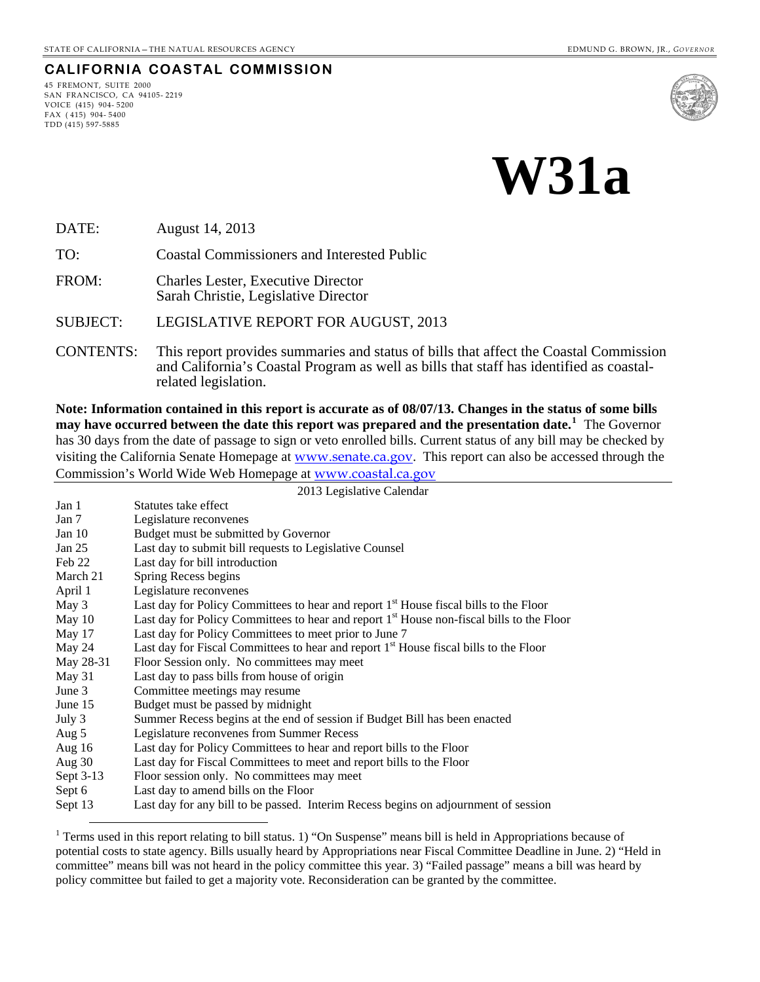#### **CALIFORNIA COASTAL COMMISSION**

45 FREMONT, SUITE 2000 SAN FRANCISCO, CA 94105- 2219 VOICE (415) 904- 5200 FAX ( 415) 904- 5400 TDD (415) 597-5885

 $\overline{a}$ 



**W31a** 

DATE: August 14, 2013

TO: Coastal Commissioners and Interested Public

FROM: Charles Lester, Executive Director Sarah Christie, Legislative Director

SUBJECT: LEGISLATIVE REPORT FOR AUGUST, 2013

CONTENTS: This report provides summaries and status of bills that affect the Coastal Commission and California's Coastal Program as well as bills that staff has identified as coastalrelated legislation.

**Note: Information contained in this report is accurate as of 08/07/13. Changes in the status of some bills may have occurred between the date this report was prepared and the presentation date.[1](#page-0-0)** The Governor has 30 days from the date of passage to sign or veto enrolled bills. Current status of any bill may be checked by visiting the California Senate Homepage at [www.senate.ca.gov](http://www.senate.ca.gov/). This report can also be accessed through the Commission's World Wide Web Homepage at [www.coastal.ca.gov](http://www.coastal.ca.gov/)

2013 Legislative Calendar

| Jan 1     | Statutes take effect                                                                                  |
|-----------|-------------------------------------------------------------------------------------------------------|
| Jan 7     | Legislature reconvenes                                                                                |
| Jan 10    | Budget must be submitted by Governor                                                                  |
| Jan $25$  | Last day to submit bill requests to Legislative Counsel                                               |
| Feb 22    | Last day for bill introduction                                                                        |
| March 21  | Spring Recess begins                                                                                  |
| April 1   | Legislature reconvenes                                                                                |
| May 3     | Last day for Policy Committees to hear and report 1 <sup>st</sup> House fiscal bills to the Floor     |
| May $10$  | Last day for Policy Committees to hear and report 1 <sup>st</sup> House non-fiscal bills to the Floor |
| May 17    | Last day for Policy Committees to meet prior to June 7                                                |
| May 24    | Last day for Fiscal Committees to hear and report 1 <sup>st</sup> House fiscal bills to the Floor     |
| May 28-31 | Floor Session only. No committees may meet                                                            |
| May 31    | Last day to pass bills from house of origin                                                           |
| June $3$  | Committee meetings may resume                                                                         |
| June 15   | Budget must be passed by midnight                                                                     |
| July 3    | Summer Recess begins at the end of session if Budget Bill has been enacted                            |
| Aug 5     | Legislature reconvenes from Summer Recess                                                             |
| Aug $16$  | Last day for Policy Committees to hear and report bills to the Floor                                  |
| Aug $30$  | Last day for Fiscal Committees to meet and report bills to the Floor                                  |
| Sept 3-13 | Floor session only. No committees may meet                                                            |
| Sept 6    | Last day to amend bills on the Floor                                                                  |
| Sept 13   | Last day for any bill to be passed. Interim Recess begins on adjournment of session                   |

<span id="page-0-0"></span><sup>&</sup>lt;sup>1</sup> Terms used in this report relating to bill status. 1) "On Suspense" means bill is held in Appropriations because of potential costs to state agency. Bills usually heard by Appropriations near Fiscal Committee Deadline in June. 2) "Held in committee" means bill was not heard in the policy committee this year. 3) "Failed passage" means a bill was heard by policy committee but failed to get a majority vote. Reconsideration can be granted by the committee.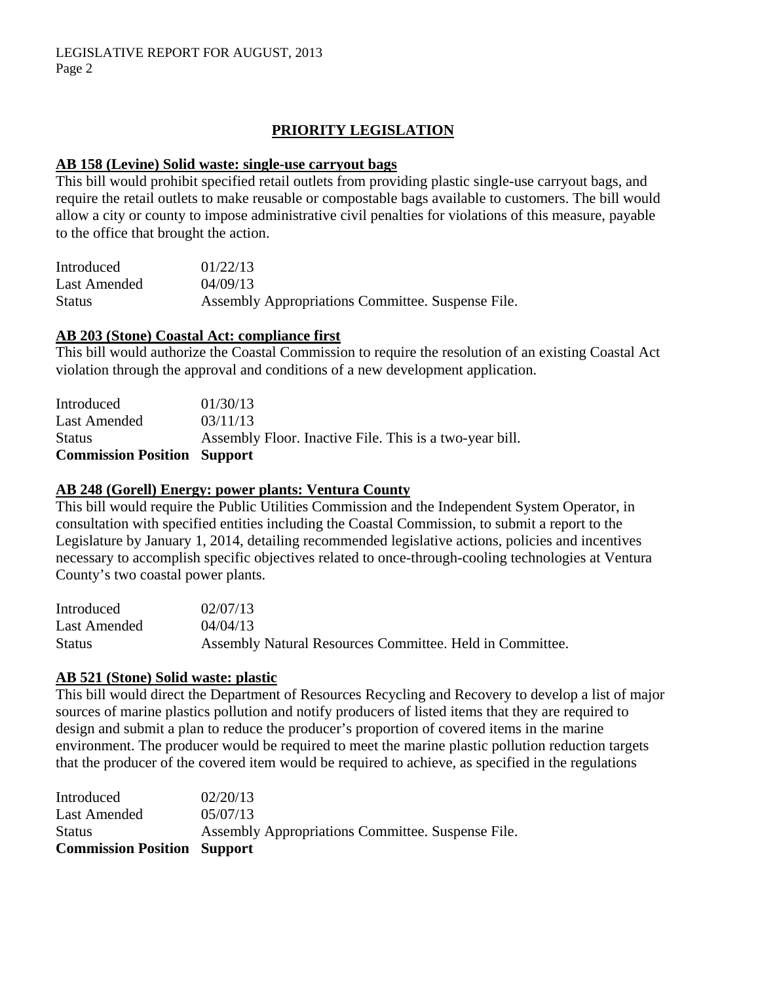# **PRIORITY LEGISLATION**

#### **AB 158 (Levine) Solid waste: single-use carryout bags**

This bill would prohibit specified retail outlets from providing plastic single-use carryout bags, and require the retail outlets to make reusable or compostable bags available to customers. The bill would allow a city or county to impose administrative civil penalties for violations of this measure, payable to the office that brought the action.

| Introduced    | 01/22/13                                          |
|---------------|---------------------------------------------------|
| Last Amended  | 04/09/13                                          |
| <b>Status</b> | Assembly Appropriations Committee. Suspense File. |

### **AB 203 (Stone) Coastal Act: compliance first**

This bill would authorize the Coastal Commission to require the resolution of an existing Coastal Act violation through the approval and conditions of a new development application.

| <b>Commission Position Support</b> |                                                         |
|------------------------------------|---------------------------------------------------------|
| <b>Status</b>                      | Assembly Floor. Inactive File. This is a two-year bill. |
| Last Amended                       | 03/11/13                                                |
| Introduced                         | 01/30/13                                                |

### **AB 248 (Gorell) Energy: power plants: Ventura County**

This bill would require the Public Utilities Commission and the Independent System Operator, in consultation with specified entities including the Coastal Commission, to submit a report to the Legislature by January 1, 2014, detailing recommended legislative actions, policies and incentives necessary to accomplish specific objectives related to once-through-cooling technologies at Ventura County's two coastal power plants.

| Introduced   | 02/07/13                                                 |
|--------------|----------------------------------------------------------|
| Last Amended | 04/04/13                                                 |
| Status       | Assembly Natural Resources Committee. Held in Committee. |

### **AB 521 (Stone) Solid waste: plastic**

This bill would direct the Department of Resources Recycling and Recovery to develop a list of major sources of marine plastics pollution and notify producers of listed items that they are required to design and submit a plan to reduce the producer's proportion of covered items in the marine environment. The producer would be required to meet the marine plastic pollution reduction targets that the producer of the covered item would be required to achieve, as specified in the regulations

| Introduced                         | 02/20/13                                          |
|------------------------------------|---------------------------------------------------|
| Last Amended                       | 05/07/13                                          |
| <b>Status</b>                      | Assembly Appropriations Committee. Suspense File. |
| <b>Commission Position Support</b> |                                                   |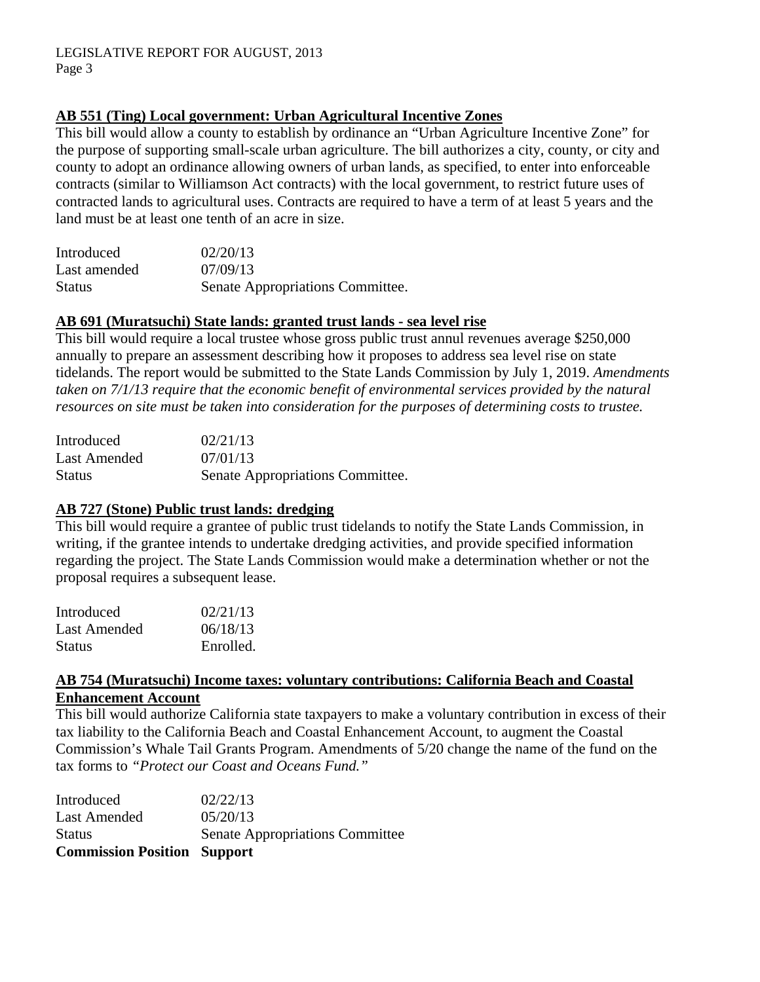## **AB 551 (Ting) Local government: Urban Agricultural Incentive Zones**

This bill would allow a county to establish by ordinance an "Urban Agriculture Incentive Zone" for the purpose of supporting small-scale urban agriculture. The bill authorizes a city, county, or city and county to adopt an ordinance allowing owners of urban lands, as specified, to enter into enforceable contracts (similar to Williamson Act contracts) with the local government, to restrict future uses of contracted lands to agricultural uses. Contracts are required to have a term of at least 5 years and the land must be at least one tenth of an acre in size.

| Introduced    | 02/20/13                         |
|---------------|----------------------------------|
| Last amended  | 07/09/13                         |
| <b>Status</b> | Senate Appropriations Committee. |

## **AB 691 (Muratsuchi) State lands: granted trust lands - sea level rise**

This bill would require a local trustee whose gross public trust annul revenues average \$250,000 annually to prepare an assessment describing how it proposes to address sea level rise on state tidelands. The report would be submitted to the State Lands Commission by July 1, 2019. *Amendments taken on 7/1/13 require that the economic benefit of environmental services provided by the natural resources on site must be taken into consideration for the purposes of determining costs to trustee.* 

| Introduced    | 02/21/13                         |
|---------------|----------------------------------|
| Last Amended  | 07/01/13                         |
| <b>Status</b> | Senate Appropriations Committee. |

## **AB 727 (Stone) Public trust lands: dredging**

This bill would require a grantee of public trust tidelands to notify the State Lands Commission, in writing, if the grantee intends to undertake dredging activities, and provide specified information regarding the project. The State Lands Commission would make a determination whether or not the proposal requires a subsequent lease.

| Introduced    | 02/21/13  |
|---------------|-----------|
| Last Amended  | 06/18/13  |
| <b>Status</b> | Enrolled. |

### **AB 754 (Muratsuchi) Income taxes: voluntary contributions: California Beach and Coastal Enhancement Account**

This bill would authorize California state taxpayers to make a voluntary contribution in excess of their tax liability to the California Beach and Coastal Enhancement Account, to augment the Coastal Commission's Whale Tail Grants Program. Amendments of 5/20 change the name of the fund on the tax forms to *"Protect our Coast and Oceans Fund."* 

| <b>Commission Position Support</b> |                                        |
|------------------------------------|----------------------------------------|
| <b>Status</b>                      | <b>Senate Appropriations Committee</b> |
| Last Amended                       | 05/20/13                               |
| Introduced                         | 02/22/13                               |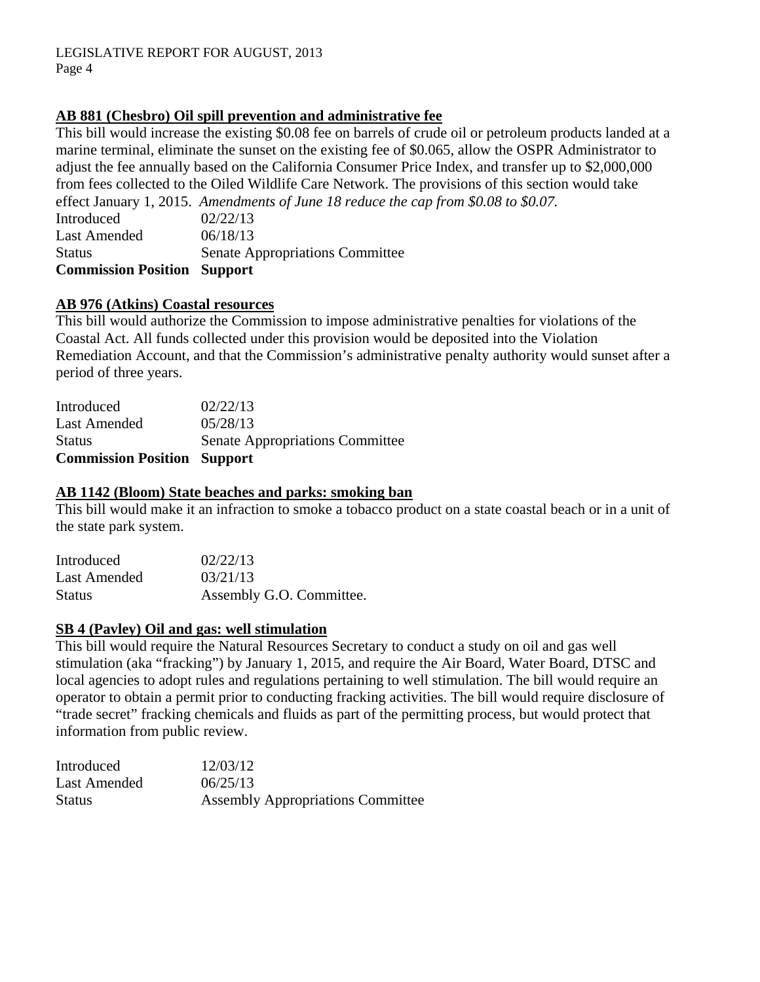### **AB 881 (Chesbro) Oil spill prevention and administrative fee**

This bill would increase the existing \$0.08 fee on barrels of crude oil or petroleum products landed at a marine terminal, eliminate the sunset on the existing fee of \$0.065, allow the OSPR Administrator to adjust the fee annually based on the California Consumer Price Index, and transfer up to \$2,000,000 from fees collected to the Oiled Wildlife Care Network. The provisions of this section would take effect January 1, 2015. *Amendments of June 18 reduce the cap from \$0.08 to \$0.07.* 

Introduced 02/22/13 Last Amended  $06/18/13$ Status Senate Appropriations Committee **Commission Position Support** 

### **AB 976 (Atkins) Coastal resources**

This bill would authorize the Commission to impose administrative penalties for violations of the Coastal Act. All funds collected under this provision would be deposited into the Violation Remediation Account, and that the Commission's administrative penalty authority would sunset after a period of three years.

| <b>Commission Position Support</b> |                                        |
|------------------------------------|----------------------------------------|
| Status                             | <b>Senate Appropriations Committee</b> |
| Last Amended                       | 05/28/13                               |
| Introduced                         | 02/22/13                               |

### **AB 1142 (Bloom) State beaches and parks: smoking ban**

This bill would make it an infraction to smoke a tobacco product on a state coastal beach or in a unit of the state park system.

| Introduced    | 02/22/13                 |
|---------------|--------------------------|
| Last Amended  | 03/21/13                 |
| <b>Status</b> | Assembly G.O. Committee. |

### **SB 4 (Pavley) Oil and gas: well stimulation**

This bill would require the Natural Resources Secretary to conduct a study on oil and gas well stimulation (aka "fracking") by January 1, 2015, and require the Air Board, Water Board, DTSC and local agencies to adopt rules and regulations pertaining to well stimulation. The bill would require an operator to obtain a permit prior to conducting fracking activities. The bill would require disclosure of "trade secret" fracking chemicals and fluids as part of the permitting process, but would protect that information from public review.

| Introduced    | 12/03/12                                 |
|---------------|------------------------------------------|
| Last Amended  | 06/25/13                                 |
| <b>Status</b> | <b>Assembly Appropriations Committee</b> |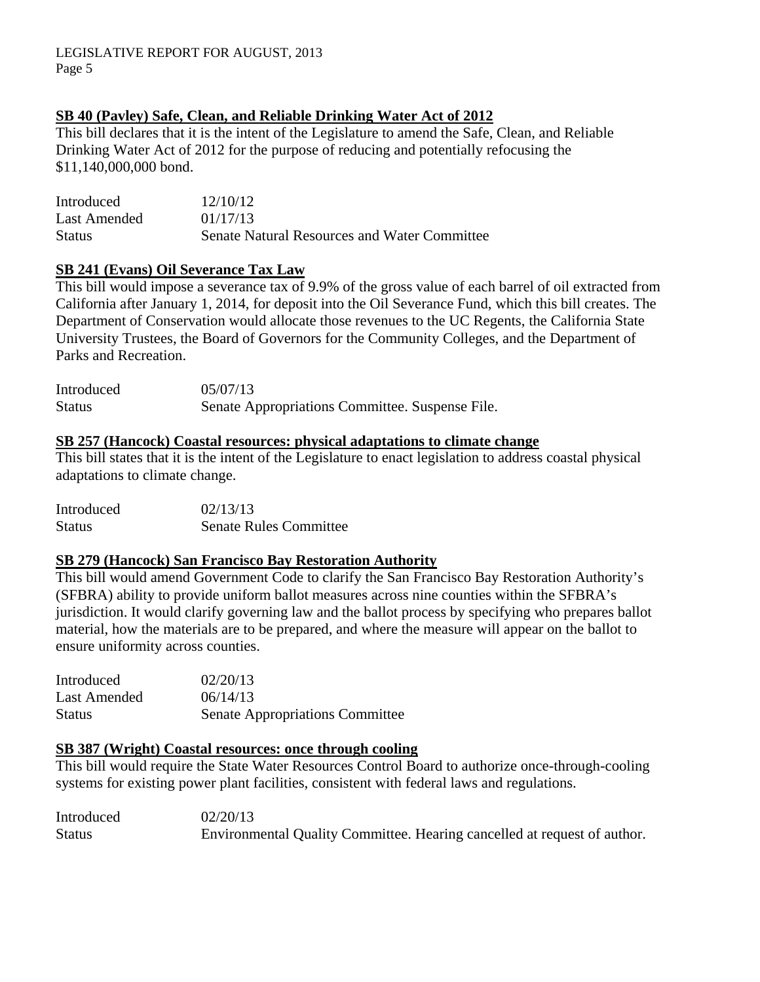# **SB 40 (Pavley) Safe, Clean, and Reliable Drinking Water Act of 2012**

This bill declares that it is the intent of the Legislature to amend the Safe, Clean, and Reliable Drinking Water Act of 2012 for the purpose of reducing and potentially refocusing the \$11,140,000,000 bond.

| Introduced    | 12/10/12                                            |
|---------------|-----------------------------------------------------|
| Last Amended  | 01/17/13                                            |
| <b>Status</b> | <b>Senate Natural Resources and Water Committee</b> |

### **SB 241 (Evans) Oil Severance Tax Law**

This bill would impose a severance tax of 9.9% of the gross value of each barrel of oil extracted from California after January 1, 2014, for deposit into the Oil Severance Fund, which this bill creates. The Department of Conservation would allocate those revenues to the UC Regents, the California State University Trustees, the Board of Governors for the Community Colleges, and the Department of Parks and Recreation.

| Introduced    | 05/07/13                                        |
|---------------|-------------------------------------------------|
| <b>Status</b> | Senate Appropriations Committee. Suspense File. |

### **SB 257 (Hancock) Coastal resources: physical adaptations to climate change**

This bill states that it is the intent of the Legislature to enact legislation to address coastal physical adaptations to climate change.

| Introduced    | 02/13/13                      |
|---------------|-------------------------------|
| <b>Status</b> | <b>Senate Rules Committee</b> |

## **SB 279 (Hancock) San Francisco Bay Restoration Authority**

This bill would amend Government Code to clarify the San Francisco Bay Restoration Authority's (SFBRA) ability to provide uniform ballot measures across nine counties within the SFBRA's jurisdiction. It would clarify governing law and the ballot process by specifying who prepares ballot material, how the materials are to be prepared, and where the measure will appear on the ballot to ensure uniformity across counties.

| Introduced    | 02/20/13                               |
|---------------|----------------------------------------|
| Last Amended  | 06/14/13                               |
| <b>Status</b> | <b>Senate Appropriations Committee</b> |

### **SB 387 (Wright) Coastal resources: once through cooling**

This bill would require the State Water Resources Control Board to authorize once-through-cooling systems for existing power plant facilities, consistent with federal laws and regulations.

| Introduced    | 02/20/13                                                                 |
|---------------|--------------------------------------------------------------------------|
| <b>Status</b> | Environmental Quality Committee. Hearing cancelled at request of author. |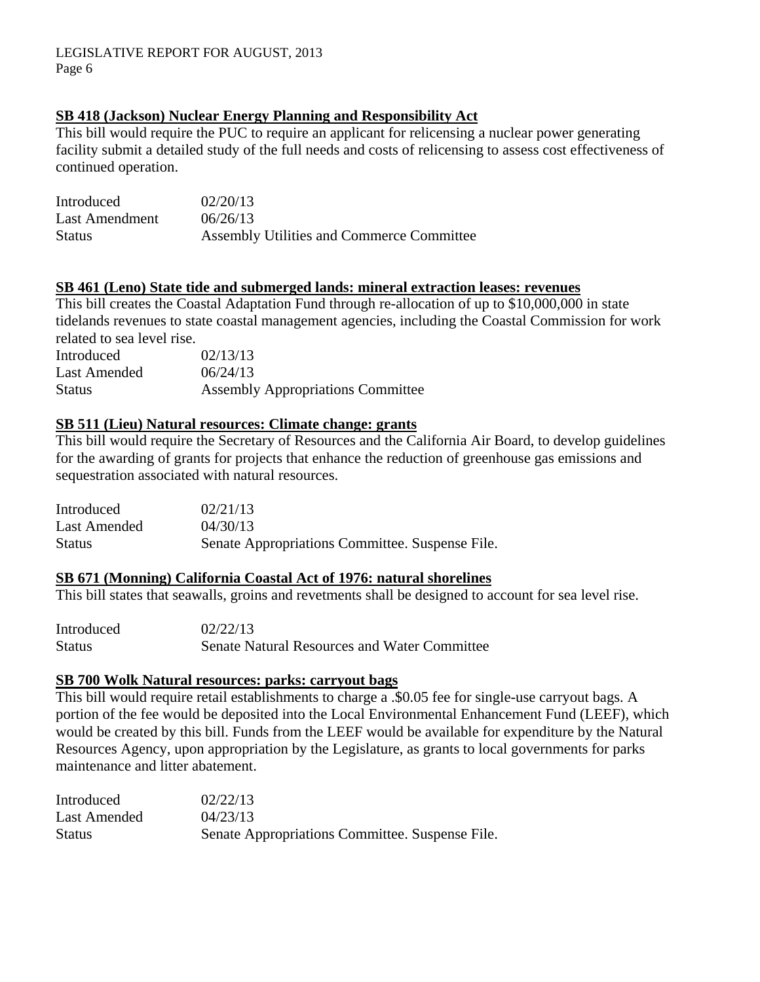## **SB 418 (Jackson) Nuclear Energy Planning and Responsibility Act**

This bill would require the PUC to require an applicant for relicensing a nuclear power generating facility submit a detailed study of the full needs and costs of relicensing to assess cost effectiveness of continued operation.

| Introduced     | 02/20/13                                  |
|----------------|-------------------------------------------|
| Last Amendment | 06/26/13                                  |
| <b>Status</b>  | Assembly Utilities and Commerce Committee |

### **SB 461 (Leno) State tide and submerged lands: mineral extraction leases: revenues**

This bill creates the Coastal Adaptation Fund through re-allocation of up to \$10,000,000 in state tidelands revenues to state coastal management agencies, including the Coastal Commission for work related to sea level rise.

| Introduced    | 02/13/13                                 |
|---------------|------------------------------------------|
| Last Amended  | 06/24/13                                 |
| <b>Status</b> | <b>Assembly Appropriations Committee</b> |

## **SB 511 (Lieu) Natural resources: Climate change: grants**

This bill would require the Secretary of Resources and the California Air Board, to develop guidelines for the awarding of grants for projects that enhance the reduction of greenhouse gas emissions and sequestration associated with natural resources.

| Introduced   | 02/21/13                                        |
|--------------|-------------------------------------------------|
| Last Amended | 04/30/13                                        |
| Status       | Senate Appropriations Committee. Suspense File. |

## **SB 671 (Monning) California Coastal Act of 1976: natural shorelines**

This bill states that seawalls, groins and revetments shall be designed to account for sea level rise.

| Introduced    | 02/22/13                                            |
|---------------|-----------------------------------------------------|
| <b>Status</b> | <b>Senate Natural Resources and Water Committee</b> |

### **SB 700 Wolk Natural resources: parks: carryout bags**

This bill would require retail establishments to charge a .\$0.05 fee for single-use carryout bags. A portion of the fee would be deposited into the Local Environmental Enhancement Fund (LEEF), which would be created by this bill. Funds from the LEEF would be available for expenditure by the Natural Resources Agency, upon appropriation by the Legislature, as grants to local governments for parks maintenance and litter abatement.

| Introduced    | 02/22/13                                        |
|---------------|-------------------------------------------------|
| Last Amended  | 04/23/13                                        |
| <b>Status</b> | Senate Appropriations Committee. Suspense File. |